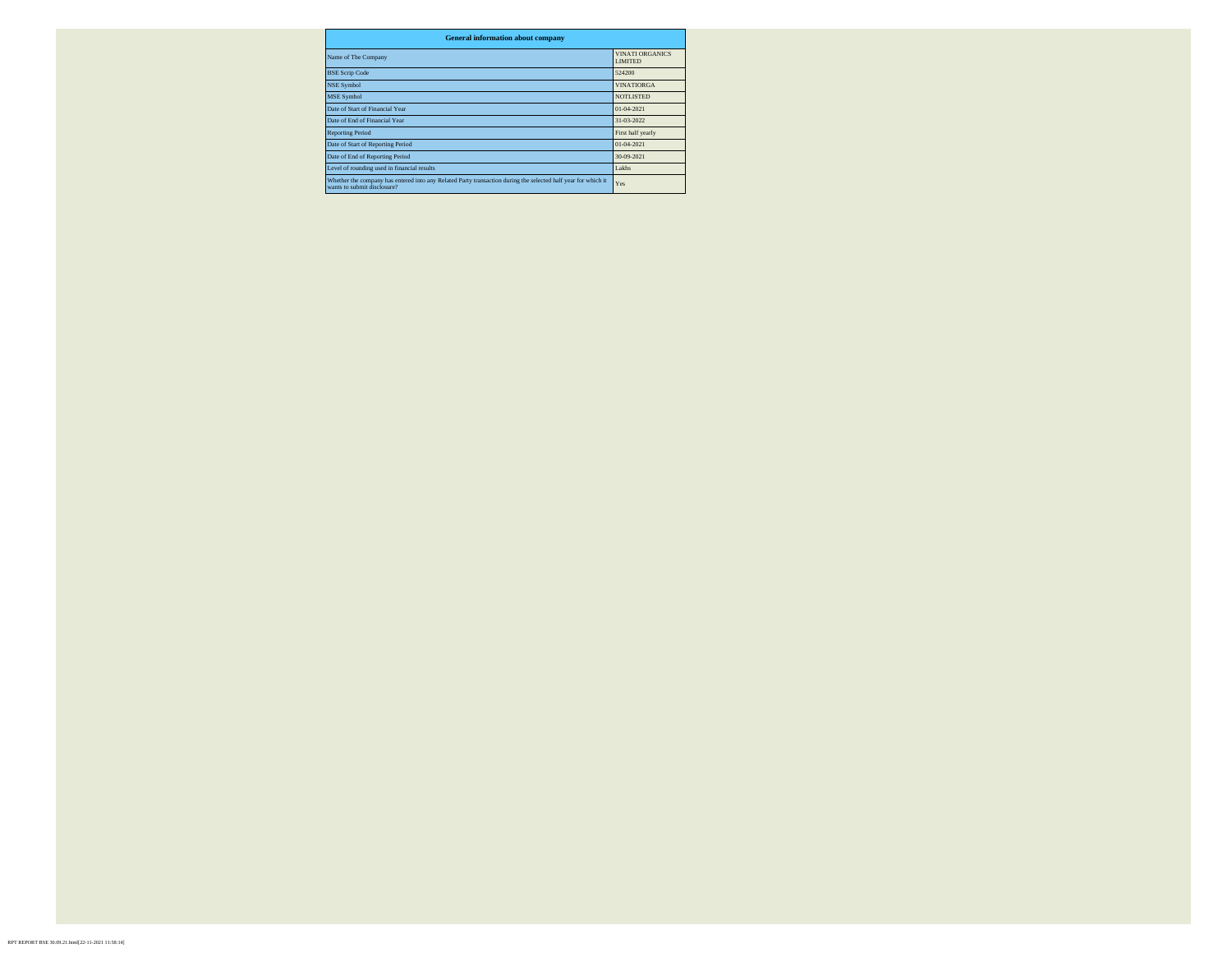| <b>General information about company</b>                                                                                                     |                                          |  |  |  |  |  |  |  |  |
|----------------------------------------------------------------------------------------------------------------------------------------------|------------------------------------------|--|--|--|--|--|--|--|--|
| Name of The Company                                                                                                                          | <b>VINATI ORGANICS</b><br><b>LIMITED</b> |  |  |  |  |  |  |  |  |
| <b>BSE Scrip Code</b>                                                                                                                        | 524200                                   |  |  |  |  |  |  |  |  |
| <b>NSE Symbol</b>                                                                                                                            | <b>VINATIORGA</b>                        |  |  |  |  |  |  |  |  |
| <b>MSE Symbol</b>                                                                                                                            | <b>NOTLISTED</b>                         |  |  |  |  |  |  |  |  |
| Date of Start of Financial Year                                                                                                              | 01-04-2021                               |  |  |  |  |  |  |  |  |
| Date of End of Financial Year                                                                                                                | 31-03-2022                               |  |  |  |  |  |  |  |  |
| <b>Reporting Period</b>                                                                                                                      | First half yearly                        |  |  |  |  |  |  |  |  |
| Date of Start of Reporting Period                                                                                                            | 01-04-2021                               |  |  |  |  |  |  |  |  |
| Date of End of Reporting Period                                                                                                              | 30-09-2021                               |  |  |  |  |  |  |  |  |
| Level of rounding used in financial results                                                                                                  | Lakhs                                    |  |  |  |  |  |  |  |  |
| Whether the company has entered into any Related Party transaction during the selected half year for which it<br>wants to submit disclosure? | Yes                                      |  |  |  |  |  |  |  |  |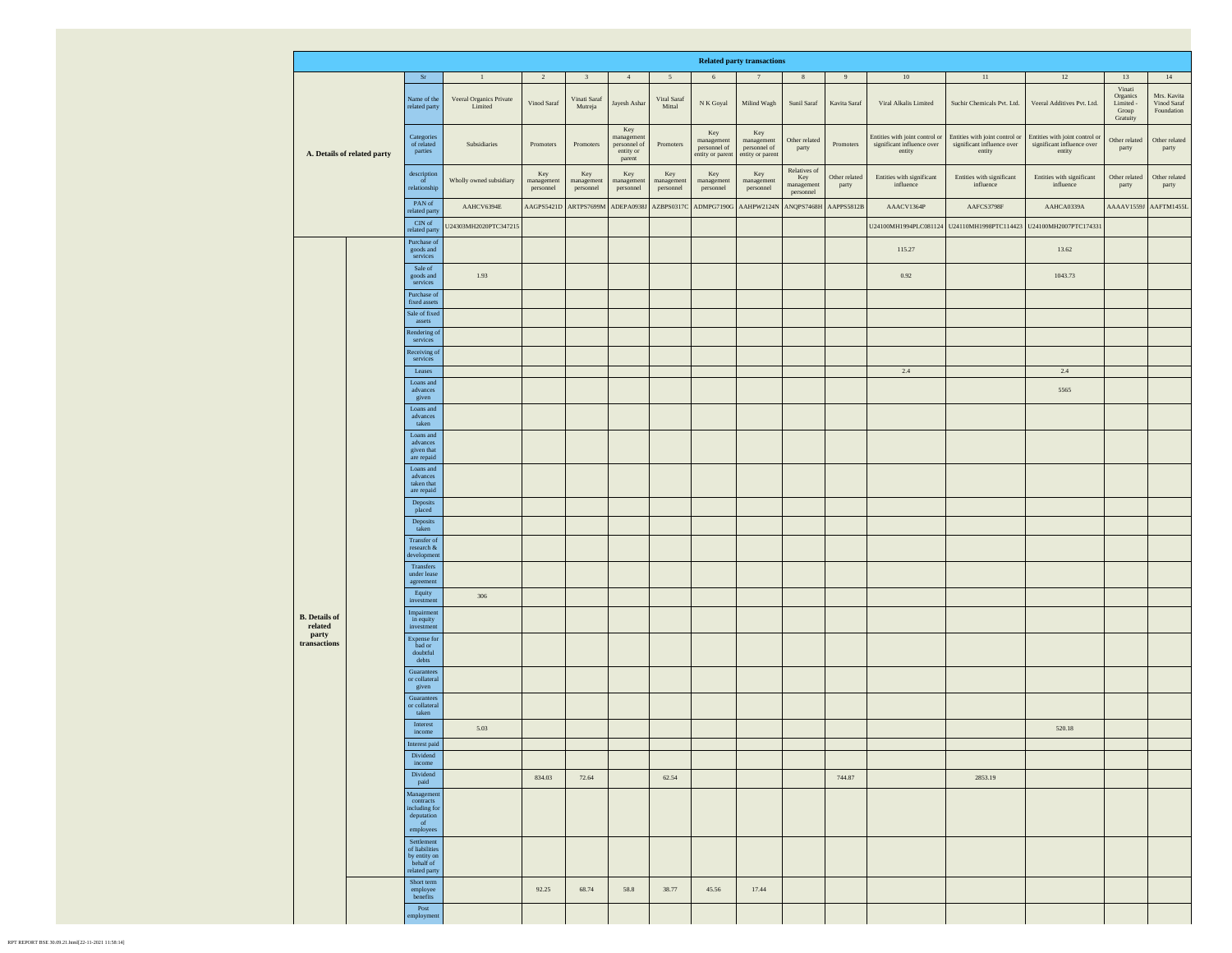|                                 |  |                                                                                              |                                    |                                |                                |                                                         |                                        |                                                                  | <b>Related party transactions</b>                                |                                                |                        |                                                                        |                                                                        |                                                                        |                                                      |                                          |
|---------------------------------|--|----------------------------------------------------------------------------------------------|------------------------------------|--------------------------------|--------------------------------|---------------------------------------------------------|----------------------------------------|------------------------------------------------------------------|------------------------------------------------------------------|------------------------------------------------|------------------------|------------------------------------------------------------------------|------------------------------------------------------------------------|------------------------------------------------------------------------|------------------------------------------------------|------------------------------------------|
| A. Details of related party     |  | $\rm Sr$                                                                                     | $\mathbf{1}$                       | $\overline{2}$                 | $\overline{3}$                 | 4                                                       | 5                                      | 6                                                                | 7                                                                | $\,$ 8 $\,$                                    | 9                      | 10                                                                     | 11                                                                     | $12\,$                                                                 | 13                                                   | 14                                       |
|                                 |  | Name of the<br>related party                                                                 | Veeral Organics Private<br>Limited | Vinod Saraf                    | Vinati Saraf<br>Mutreja        | Jayesh Ashar                                            | Viral Saraf<br>$\operatorname{Mittal}$ | N K Goyal                                                        | Milind Wagh                                                      | Sunil Saraf                                    | Kavita Saraf           | Viral Alkalis Limited                                                  | Suchir Chemicals Pvt. Ltd.                                             | Veeral Additives Pvt. Ltd.                                             | Vinati<br>Organics<br>Limited -<br>Group<br>Gratuity | Mrs. Kavita<br>Vinod Saraf<br>Foundation |
|                                 |  | Categories<br>of related<br>parties                                                          | Subsidiaries                       | Promoters                      | Promoters                      | Key<br>managemen<br>personnel of<br>entity or<br>parent | Promoters                              | $\rm Key$<br>$\,$ management<br>personnel of<br>entity or parent | $\rm Key$<br>$\,$ management<br>personnel of<br>entity or parent | Other related<br>party                         | Promoters              | Entities with joint control or<br>significant influence over<br>entity | Entities with joint control or<br>significant influence over<br>entity | Entities with joint control or<br>significant influence over<br>entity | Other related<br>party                               | Other related<br>party                   |
|                                 |  | description<br>$\overline{\textbf{f}}$<br>relationship                                       | Wholly owned subsidiary            | Key<br>management<br>personnel | Key<br>management<br>personnel | Key<br>management<br>personnel                          | Key<br>management<br>personnel         | Key<br>management<br>personnel                                   | Key<br>management<br>personnel                                   | Relatives of<br>Key<br>management<br>personnel | Other related<br>party | Entities with significant<br>influence                                 | Entities with significant<br>influence                                 | Entities with significant<br>influence                                 | Other related<br>party                               | Other related<br>party                   |
|                                 |  | PAN of<br>related party                                                                      | AAHCV6394E                         | AAGPS5421D                     | ARTPS7699M                     | ADEPA0938J                                              | AZBPS0317C                             | ADMPG7190G                                                       | AAHPW2124N                                                       | ANQPS7468H                                     | AAPPS5812B             | AAACV1364P                                                             | AAFCS3798F                                                             | AAHCA0339A                                                             | AAAAV1559J                                           | AAFTM1455L                               |
|                                 |  | $\ensuremath{\mathrm{CIN}}$ of<br>related party                                              | U24303MH2020PTC347215              |                                |                                |                                                         |                                        |                                                                  |                                                                  |                                                |                        |                                                                        | U24100MH1994PLC081124 U24110MH1998PTC114423 U24100MH2007PTC174331      |                                                                        |                                                      |                                          |
|                                 |  | Purchase of<br>goods and<br>services                                                         |                                    |                                |                                |                                                         |                                        |                                                                  |                                                                  |                                                |                        | 115.27                                                                 |                                                                        | 13.62                                                                  |                                                      |                                          |
|                                 |  | Sale of<br>goods and<br>services                                                             | 1.93                               |                                |                                |                                                         |                                        |                                                                  |                                                                  |                                                |                        | 0.92                                                                   |                                                                        | 1043.73                                                                |                                                      |                                          |
|                                 |  | Purchase of<br>fixed assets                                                                  |                                    |                                |                                |                                                         |                                        |                                                                  |                                                                  |                                                |                        |                                                                        |                                                                        |                                                                        |                                                      |                                          |
|                                 |  | Sale of fixed<br>$\textbf{asserts}$                                                          |                                    |                                |                                |                                                         |                                        |                                                                  |                                                                  |                                                |                        |                                                                        |                                                                        |                                                                        |                                                      |                                          |
|                                 |  | Rendering o<br>services                                                                      |                                    |                                |                                |                                                         |                                        |                                                                  |                                                                  |                                                |                        |                                                                        |                                                                        |                                                                        |                                                      |                                          |
|                                 |  | Receiving o<br>services                                                                      |                                    |                                |                                |                                                         |                                        |                                                                  |                                                                  |                                                |                        |                                                                        |                                                                        |                                                                        |                                                      |                                          |
|                                 |  | Leases                                                                                       |                                    |                                |                                |                                                         |                                        |                                                                  |                                                                  |                                                |                        | 2.4                                                                    |                                                                        | 2.4                                                                    |                                                      |                                          |
|                                 |  | Loans and<br>advances<br>given                                                               |                                    |                                |                                |                                                         |                                        |                                                                  |                                                                  |                                                |                        |                                                                        |                                                                        | 5565                                                                   |                                                      |                                          |
|                                 |  | Loans and<br>advances<br>$\,$ taken                                                          |                                    |                                |                                |                                                         |                                        |                                                                  |                                                                  |                                                |                        |                                                                        |                                                                        |                                                                        |                                                      |                                          |
|                                 |  | Loans and<br>advances<br>given that<br>are repaid                                            |                                    |                                |                                |                                                         |                                        |                                                                  |                                                                  |                                                |                        |                                                                        |                                                                        |                                                                        |                                                      |                                          |
|                                 |  | Loans and<br>advances<br>taken that                                                          |                                    |                                |                                |                                                         |                                        |                                                                  |                                                                  |                                                |                        |                                                                        |                                                                        |                                                                        |                                                      |                                          |
|                                 |  | are repaid<br>Deposits<br>placed                                                             |                                    |                                |                                |                                                         |                                        |                                                                  |                                                                  |                                                |                        |                                                                        |                                                                        |                                                                        |                                                      |                                          |
|                                 |  | Deposits<br>taken                                                                            |                                    |                                |                                |                                                         |                                        |                                                                  |                                                                  |                                                |                        |                                                                        |                                                                        |                                                                        |                                                      |                                          |
|                                 |  | Transfer of<br>research $\&$<br>development                                                  |                                    |                                |                                |                                                         |                                        |                                                                  |                                                                  |                                                |                        |                                                                        |                                                                        |                                                                        |                                                      |                                          |
|                                 |  | Transfers<br>under lease<br>agreement                                                        |                                    |                                |                                |                                                         |                                        |                                                                  |                                                                  |                                                |                        |                                                                        |                                                                        |                                                                        |                                                      |                                          |
|                                 |  | Equity<br>investment                                                                         | 306                                |                                |                                |                                                         |                                        |                                                                  |                                                                  |                                                |                        |                                                                        |                                                                        |                                                                        |                                                      |                                          |
| <b>B.</b> Details of<br>related |  | Impairment<br>in equity<br>investment                                                        |                                    |                                |                                |                                                         |                                        |                                                                  |                                                                  |                                                |                        |                                                                        |                                                                        |                                                                        |                                                      |                                          |
| party<br>transactions           |  | Expense for<br>bad or<br>$\text{double}$<br>$\rm{debts}$                                     |                                    |                                |                                |                                                         |                                        |                                                                  |                                                                  |                                                |                        |                                                                        |                                                                        |                                                                        |                                                      |                                          |
|                                 |  | Guarantees<br>or collateral<br>given                                                         |                                    |                                |                                |                                                         |                                        |                                                                  |                                                                  |                                                |                        |                                                                        |                                                                        |                                                                        |                                                      |                                          |
|                                 |  | Guarantees<br>or collateral<br>$\operatorname{taken}$                                        |                                    |                                |                                |                                                         |                                        |                                                                  |                                                                  |                                                |                        |                                                                        |                                                                        |                                                                        |                                                      |                                          |
|                                 |  | Interest<br>income                                                                           | 5.03                               |                                |                                |                                                         |                                        |                                                                  |                                                                  |                                                |                        |                                                                        |                                                                        | 520.18                                                                 |                                                      |                                          |
|                                 |  | Interest paid                                                                                |                                    |                                |                                |                                                         |                                        |                                                                  |                                                                  |                                                |                        |                                                                        |                                                                        |                                                                        |                                                      |                                          |
|                                 |  | Dividend<br>income                                                                           |                                    |                                |                                |                                                         |                                        |                                                                  |                                                                  |                                                |                        |                                                                        |                                                                        |                                                                        |                                                      |                                          |
|                                 |  | Dividend<br>paid                                                                             |                                    | 834.03                         | 72.64                          |                                                         | 62.54                                  |                                                                  |                                                                  |                                                | 744.87                 |                                                                        | 2853.19                                                                |                                                                        |                                                      |                                          |
|                                 |  | Management<br>$\mathop{\textup{contrast}}$<br>including for<br>deputation<br>of<br>employees |                                    |                                |                                |                                                         |                                        |                                                                  |                                                                  |                                                |                        |                                                                        |                                                                        |                                                                        |                                                      |                                          |
|                                 |  | Settlement<br>of liabilities<br>by entity on<br>behalf of<br>related party                   |                                    |                                |                                |                                                         |                                        |                                                                  |                                                                  |                                                |                        |                                                                        |                                                                        |                                                                        |                                                      |                                          |
|                                 |  | Short term<br>employee<br>benefits                                                           |                                    | 92.25                          | 68.74                          | 58.8                                                    | 38.77                                  | 45.56                                                            | 17.44                                                            |                                                |                        |                                                                        |                                                                        |                                                                        |                                                      |                                          |
|                                 |  | Post<br>employment                                                                           |                                    |                                |                                |                                                         |                                        |                                                                  |                                                                  |                                                |                        |                                                                        |                                                                        |                                                                        |                                                      |                                          |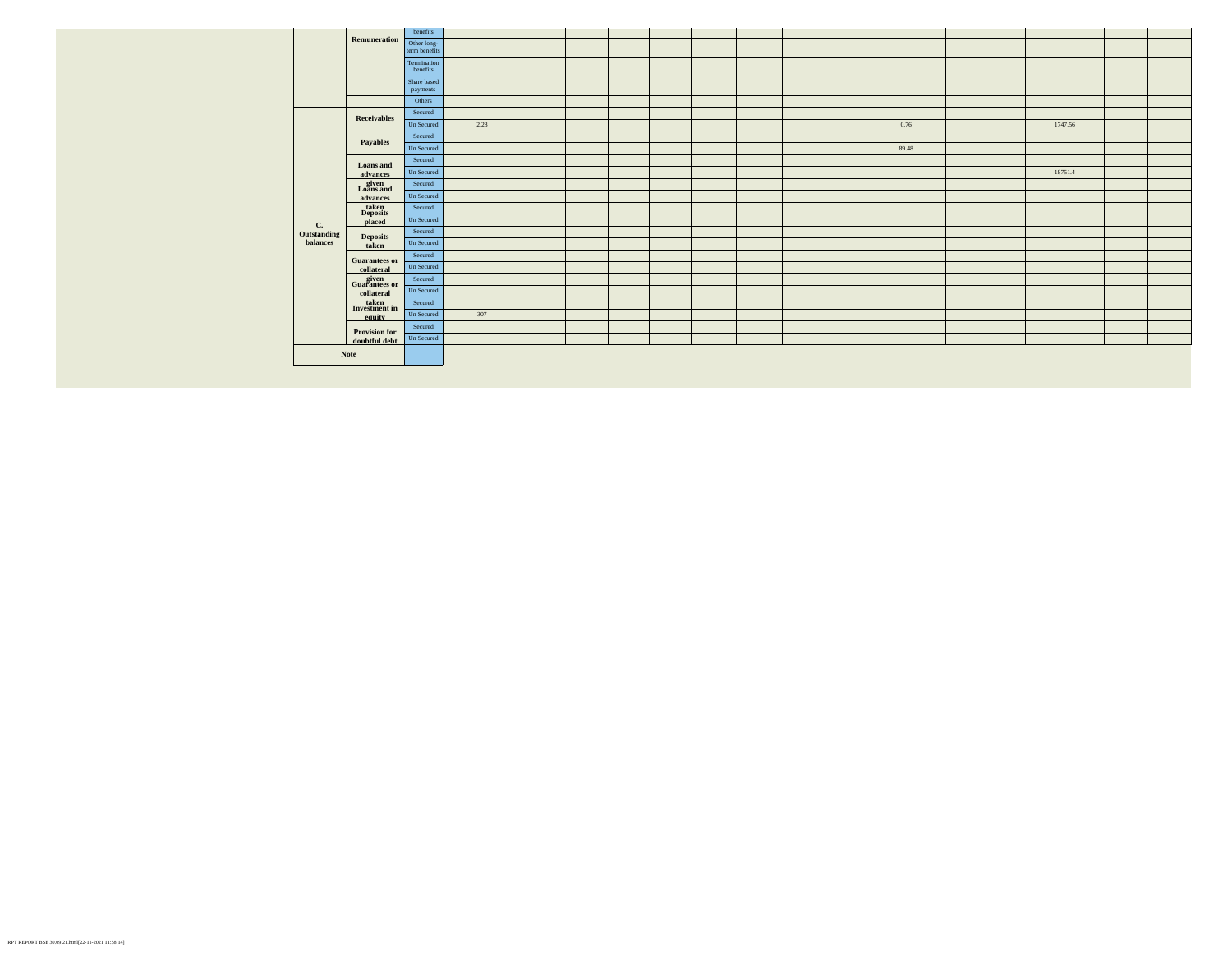|                   | Remuneration                                | benefits                     |      |  |  |  |  |       |         |  |
|-------------------|---------------------------------------------|------------------------------|------|--|--|--|--|-------|---------|--|
|                   |                                             | Other long-<br>term benefits |      |  |  |  |  |       |         |  |
|                   |                                             | Termination<br>benefits      |      |  |  |  |  |       |         |  |
|                   |                                             | Share based<br>payments      |      |  |  |  |  |       |         |  |
|                   |                                             | Others                       |      |  |  |  |  |       |         |  |
|                   | <b>Receivables</b>                          | Secured                      |      |  |  |  |  |       |         |  |
|                   |                                             | Un Secured                   | 2.28 |  |  |  |  | 0.76  | 1747.56 |  |
|                   |                                             | Secured                      |      |  |  |  |  |       |         |  |
|                   | Payables                                    | Un Secured                   |      |  |  |  |  | 89.48 |         |  |
|                   | Loans and<br>advances                       | Secured                      |      |  |  |  |  |       |         |  |
|                   |                                             | Un Secured                   |      |  |  |  |  |       | 18751.4 |  |
|                   | given<br>Loans and<br>advances              | Secured                      |      |  |  |  |  |       |         |  |
|                   |                                             | Un Secured                   |      |  |  |  |  |       |         |  |
|                   | $\frac{\text{taken}}{\text{Deposits}}$      | Secured                      |      |  |  |  |  |       |         |  |
|                   | placed                                      | Un Secured                   |      |  |  |  |  |       |         |  |
| C.<br>Outstanding | <b>Deposits</b><br>taken                    | Secured                      |      |  |  |  |  |       |         |  |
| balances          |                                             | Un Secured                   |      |  |  |  |  |       |         |  |
|                   | <b>Guarantees or</b><br>collateral          | Secured                      |      |  |  |  |  |       |         |  |
|                   |                                             | Un Secured                   |      |  |  |  |  |       |         |  |
|                   | given<br>Guarantees or<br>collateral        | Secured                      |      |  |  |  |  |       |         |  |
|                   |                                             | Un Secured                   |      |  |  |  |  |       |         |  |
|                   | $\frac{\text{taken}}{\text{Investment in}}$ | Secured                      |      |  |  |  |  |       |         |  |
|                   | equity                                      | Un Secured                   | 307  |  |  |  |  |       |         |  |
|                   | <b>Provision for</b>                        | Secured                      |      |  |  |  |  |       |         |  |
|                   | doubtful debt                               | Un Secured                   |      |  |  |  |  |       |         |  |
|                   | Note                                        |                              |      |  |  |  |  |       |         |  |